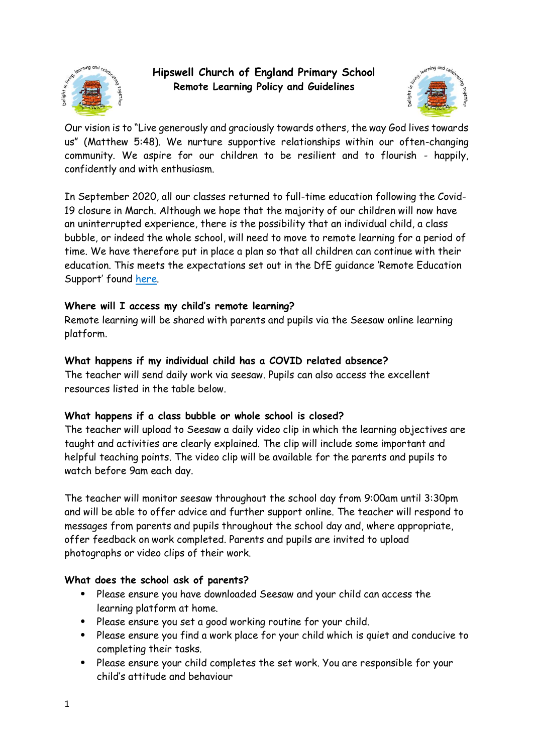

**Hipswell Church of England Primary School Remote Learning Policy and Guidelines**



Our vision is to "Live generously and graciously towards others, the way God lives towards us" (Matthew 5:48). We nurture supportive relationships within our often-changing community. We aspire for our children to be resilient and to flourish - happily, confidently and with enthusiasm.

In September 2020, all our classes returned to full-time education following the Covid-19 closure in March. Although we hope that the majority of our children will now have an uninterrupted experience, there is the possibility that an individual child, a class bubble, or indeed the whole school, will need to move to remote learning for a period of time. We have therefore put in place a plan so that all children can continue with their education. This meets the expectations set out in the DfE guidance 'Remote Education Support' found [here.](https://www.gov.uk/guidance/remote-education-during-coronavirus-covid-19)

## **Where will I access my child's remote learning?**

Remote learning will be shared with parents and pupils via the Seesaw online learning platform.

## **What happens if my individual child has a COVID related absence?**

The teacher will send daily work via seesaw. Pupils can also access the excellent resources listed in the table below.

# **What happens if a class bubble or whole school is closed?**

The teacher will upload to Seesaw a daily video clip in which the learning objectives are taught and activities are clearly explained. The clip will include some important and helpful teaching points. The video clip will be available for the parents and pupils to watch before 9am each day.

The teacher will monitor seesaw throughout the school day from 9:00am until 3:30pm and will be able to offer advice and further support online. The teacher will respond to messages from parents and pupils throughout the school day and, where appropriate, offer feedback on work completed. Parents and pupils are invited to upload photographs or video clips of their work.

# **What does the school ask of parents?**

- Please ensure you have downloaded Seesaw and your child can access the learning platform at home.
- Please ensure you set a good working routine for your child.
- Please ensure you find a work place for your child which is quiet and conducive to completing their tasks.
- Please ensure your child completes the set work. You are responsible for your child's attitude and behaviour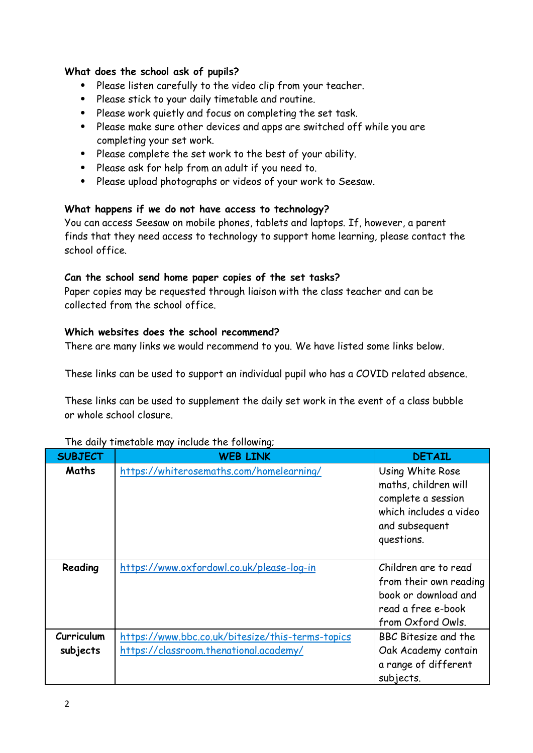## **What does the school ask of pupils?**

- Please listen carefully to the video clip from your teacher.
- Please stick to your daily timetable and routine.
- Please work quietly and focus on completing the set task.
- Please make sure other devices and apps are switched off while you are completing your set work.
- Please complete the set work to the best of your ability.
- Please ask for help from an adult if you need to.
- Please upload photographs or videos of your work to Seesaw.

## **What happens if we do not have access to technology?**

You can access Seesaw on mobile phones, tablets and laptops. If, however, a parent finds that they need access to technology to support home learning, please contact the school office.

### **Can the school send home paper copies of the set tasks?**

Paper copies may be requested through liaison with the class teacher and can be collected from the school office.

### **Which websites does the school recommend?**

There are many links we would recommend to you. We have listed some links below.

These links can be used to support an individual pupil who has a COVID related absence.

These links can be used to supplement the daily set work in the event of a class bubble or whole school closure.

| <b>SUBJECT</b>                | <b>WEB LINK</b>                                                                            | <b>DETAIL</b>                                                                                                            |
|-------------------------------|--------------------------------------------------------------------------------------------|--------------------------------------------------------------------------------------------------------------------------|
| Maths                         | https://whiterosemaths.com/homelearning/                                                   | Using White Rose<br>maths, children will<br>complete a session<br>which includes a video<br>and subsequent<br>questions. |
| Reading                       | https://www.oxfordowl.co.uk/please-log-in                                                  | Children are to read<br>from their own reading<br>book or download and<br>read a free e-book<br>from Oxford Owls.        |
| <b>Curriculum</b><br>subjects | https://www.bbc.co.uk/bitesize/this-terms-topics<br>https://classroom.thenational.academy/ | BBC Bitesize and the<br>Oak Academy contain<br>a range of different<br>subjects.                                         |

#### The daily timetable may include the following;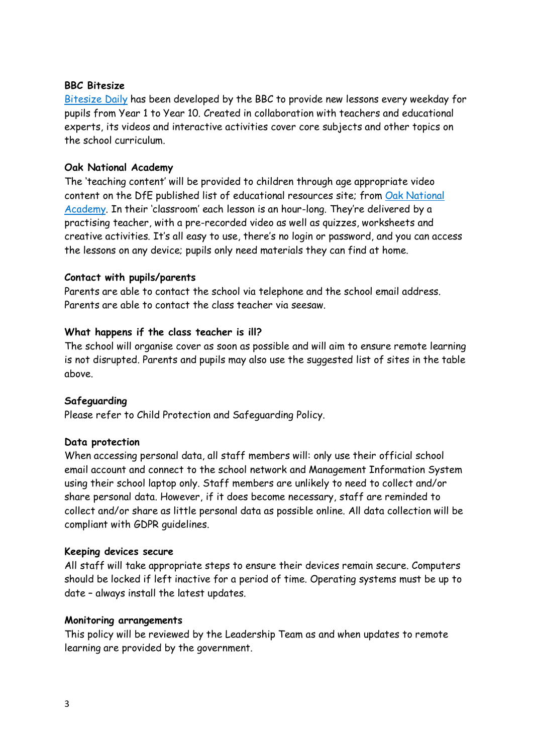## **BBC Bitesize**

[Bitesize](https://www.bbc.co.uk/bitesize/dailylessons) Daily has been developed by the BBC to provide new lessons every weekday for pupils from Year 1 to Year 10. Created in collaboration with teachers and educational experts, its videos and interactive activities cover core subjects and other topics on the school curriculum.

## **Oak National Academy**

The 'teaching content' will be provided to children through age appropriate video content on the DfE published list of educational resources site; from Oak [National](https://www.thenational.academy/) [Academy.](https://www.thenational.academy/) In their 'classroom' each lesson is an hour-long. They're delivered by a practising teacher, with a pre-recorded video as well as quizzes, worksheets and creative activities. It's all easy to use, there's no login or password, and you can access the lessons on any device; pupils only need materials they can find at home.

### **Contact with pupils/parents**

Parents are able to contact the school via telephone and the school email address. Parents are able to contact the class teacher via seesaw.

### **What happens if the class teacher is ill?**

The school will organise cover as soon as possible and will aim to ensure remote learning is not disrupted. Parents and pupils may also use the suggested list of sites in the table above.

#### **Safeguarding**

Please refer to Child Protection and Safeguarding Policy.

#### **Data protection**

When accessing personal data, all staff members will: only use their official school email account and connect to the school network and Management Information System using their school laptop only. Staff members are unlikely to need to collect and/or share personal data. However, if it does become necessary, staff are reminded to collect and/or share as little personal data as possible online. All data collection will be compliant with GDPR guidelines.

#### **Keeping devices secure**

All staff will take appropriate steps to ensure their devices remain secure. Computers should be locked if left inactive for a period of time. Operating systems must be up to date – always install the latest updates.

#### **Monitoring arrangements**

This policy will be reviewed by the Leadership Team as and when updates to remote learning are provided by the government.